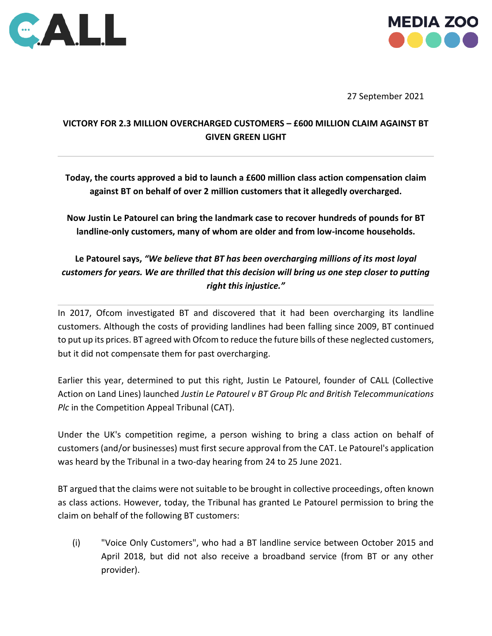



27 September 2021

# **VICTORY FOR 2.3 MILLION OVERCHARGED CUSTOMERS – £600 MILLION CLAIM AGAINST BT GIVEN GREEN LIGHT**

**Today, the courts approved a bid to launch a £600 million class action compensation claim against BT on behalf of over 2 million customers that it allegedly overcharged.**

**Now Justin Le Patourel can bring the landmark case to recover hundreds of pounds for BT landline-only customers, many of whom are older and from low-income households.**

# **Le Patourel says,** *"We believe that BT has been overcharging millions of its most loyal customers for years. We are thrilled that this decision will bring us one step closer to putting right this injustice."*

In 2017, Ofcom investigated BT and discovered that it had been overcharging its landline customers. Although the costs of providing landlines had been falling since 2009, BT continued to put up its prices. BT agreed with Ofcom to reduce the future bills of these neglected customers, but it did not compensate them for past overcharging.

Earlier this year, determined to put this right, Justin Le Patourel, founder of CALL (Collective Action on Land Lines) launched *Justin Le Patourel v BT Group Plc and British Telecommunications Plc* in the Competition Appeal Tribunal (CAT).

Under the UK's competition regime, a person wishing to bring a class action on behalf of customers (and/or businesses) must first secure approval from the CAT. Le Patourel's application was heard by the Tribunal in a two-day hearing from 24 to 25 June 2021.

BT argued that the claims were not suitable to be brought in collective proceedings, often known as class actions. However, today, the Tribunal has granted Le Patourel permission to bring the claim on behalf of the following BT customers:

(i) "Voice Only Customers", who had a BT landline service between October 2015 and April 2018, but did not also receive a broadband service (from BT or any other provider).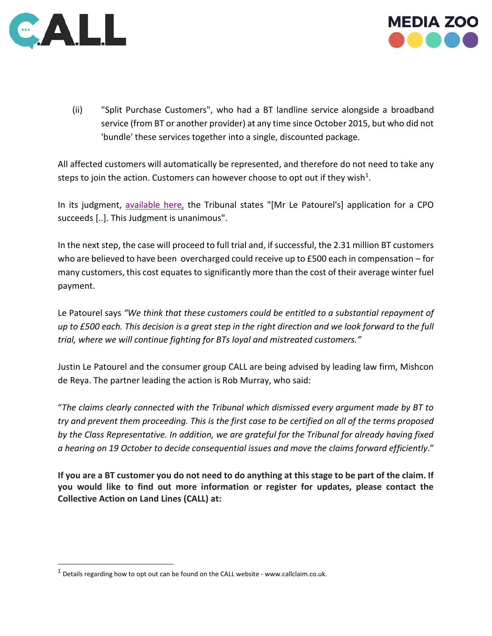



(ii) "Split Purchase Customers", who had a BT landline service alongside a broadband service (from BT or another provider) at any time since October 2015, but who did not 'bundle' these services together into a single, discounted package.

All affected customers will automatically be represented, and therefore do not need to take any steps to join the action. Customers can however choose to opt out if they wish<sup>1</sup>.

In its judgment, [available here,](https://www.catribunal.org.uk/sites/default/files/2021-09/20210927_Case_1381_JLP_BT_Judgment.pdf) the Tribunal states "[Mr Le Patourel's] application for a CPO succeeds [..]. This Judgment is unanimous".

In the next step, the case will proceed to full trial and, if successful, the 2.31 million BT customers who are believed to have been overcharged could receive up to £500 each in compensation – for many customers, this cost equates to significantly more than the cost of their average winter fuel payment.

Le Patourel says *"We think that these customers could be entitled to a substantial repayment of up to £500 each. This decision is a great step in the right direction and we look forward to the full trial, where we will continue fighting for BTs loyal and mistreated customers."*

Justin Le Patourel and the consumer group CALL are being advised by leading law firm, Mishcon de Reya. The partner leading the action is Rob Murray, who said:

"*The claims clearly connected with the Tribunal which dismissed every argument made by BT to try and prevent them proceeding. This is the first case to be certified on all of the terms proposed by the Class Representative. In addition, we are grateful for the Tribunal for already having fixed a hearing on 19 October to decide consequential issues and move the claims forward efficiently*."

**If you are a BT customer you do not need to do anything at this stage to be part of the claim. If you would like to find out more information or register for updates, please contact the Collective Action on Land Lines (CALL) at:**

 $1$  Details regarding how to opt out can be found on the CALL website - www.callclaim.co.uk.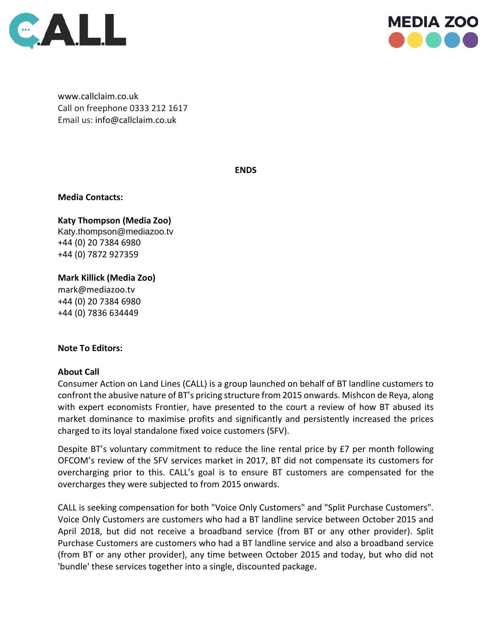



[www.callclaim.co.uk](http://www.callclaim.co.uk/) Call on freephone 0333 212 1617 Email us: [info@callclaim.co.uk](mailto:info@callclaim.co.uk)

**ENDS**

**Media Contacts:**

**Katy Thompson (Media Zoo)**  [Katy.thompson@mediazoo.tv](mailto:Katy.thompson@mediazoo.tv) +44 (0) 20 7384 6980 +44 (0) 7872 927359

**Mark Killick (Media Zoo)** [mark@mediazoo.tv](mailto:mark@mediazoo.tv) 

+44 (0) 20 7384 6980 +44 (0) 7836 634449

### **Note To Editors:**

### **About Call**

Consumer Action on Land Lines (CALL) is a group launched on behalf of BT landline customers to confront the abusive nature of BT's pricing structure from 2015 onwards. Mishcon de Reya, along with expert economists Frontier, have presented to the court a review of how BT abused its market dominance to maximise profits and significantly and persistently increased the prices charged to its loyal standalone fixed voice customers (SFV).

Despite BT's voluntary commitment to reduce the line rental price by £7 per month following OFCOM's review of the SFV services market in 2017, BT did not compensate its customers for overcharging prior to this. CALL's goal is to ensure BT customers are compensated for the overcharges they were subjected to from 2015 onwards.

CALL is seeking compensation for both "Voice Only Customers" and "Split Purchase Customers". Voice Only Customers are customers who had a BT landline service between October 2015 and April 2018, but did not receive a broadband service (from BT or any other provider). Split Purchase Customers are customers who had a BT landline service and also a broadband service (from BT or any other provider), any time between October 2015 and today, but who did not 'bundle' these services together into a single, discounted package.